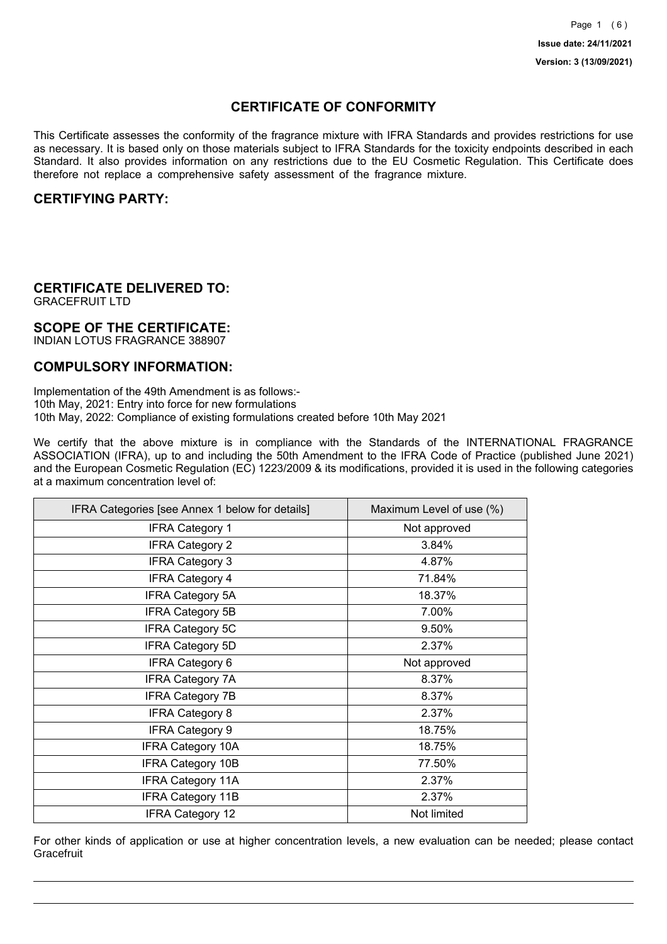## **CERTIFICATE OF CONFORMITY**

This Certificate assesses the conformity of the fragrance mixture with IFRA Standards and provides restrictions for use as necessary. It is based only on those materials subject to IFRA Standards for the toxicity endpoints described in each Standard. It also provides information on any restrictions due to the EU Cosmetic Regulation. This Certificate does therefore not replace a comprehensive safety assessment of the fragrance mixture.

### **CERTIFYING PARTY:**

## **CERTIFICATE DELIVERED TO:**

GRACEFRUIT LTD

### **SCOPE OF THE CERTIFICATE:**

INDIAN LOTUS FRAGRANCE 388907

### **COMPULSORY INFORMATION:**

Implementation of the 49th Amendment is as follows:- 10th May, 2021: Entry into force for new formulations 10th May, 2022: Compliance of existing formulations created before 10th May 2021

We certify that the above mixture is in compliance with the Standards of the INTERNATIONAL FRAGRANCE ASSOCIATION (IFRA), up to and including the 50th Amendment to the IFRA Code of Practice (published June 2021) and the European Cosmetic Regulation (EC) 1223/2009 & its modifications, provided it is used in the following categories at a maximum concentration level of:

| IFRA Categories [see Annex 1 below for details] | Maximum Level of use (%) |
|-------------------------------------------------|--------------------------|
| <b>IFRA Category 1</b>                          | Not approved             |
| <b>IFRA Category 2</b>                          | 3.84%                    |
| <b>IFRA Category 3</b>                          | 4.87%                    |
| <b>IFRA Category 4</b>                          | 71.84%                   |
| <b>IFRA Category 5A</b>                         | 18.37%                   |
| <b>IFRA Category 5B</b>                         | 7.00%                    |
| <b>IFRA Category 5C</b>                         | 9.50%                    |
| <b>IFRA Category 5D</b>                         | 2.37%                    |
| <b>IFRA Category 6</b>                          | Not approved             |
| <b>IFRA Category 7A</b>                         | 8.37%                    |
| <b>IFRA Category 7B</b>                         | 8.37%                    |
| <b>IFRA Category 8</b>                          | 2.37%                    |
| <b>IFRA Category 9</b>                          | 18.75%                   |
| <b>IFRA Category 10A</b>                        | 18.75%                   |
| <b>IFRA Category 10B</b>                        | 77.50%                   |
| <b>IFRA Category 11A</b>                        | 2.37%                    |
| <b>IFRA Category 11B</b>                        | 2.37%                    |
| IFRA Category 12                                | Not limited              |

For other kinds of application or use at higher concentration levels, a new evaluation can be needed; please contact **Gracefruit**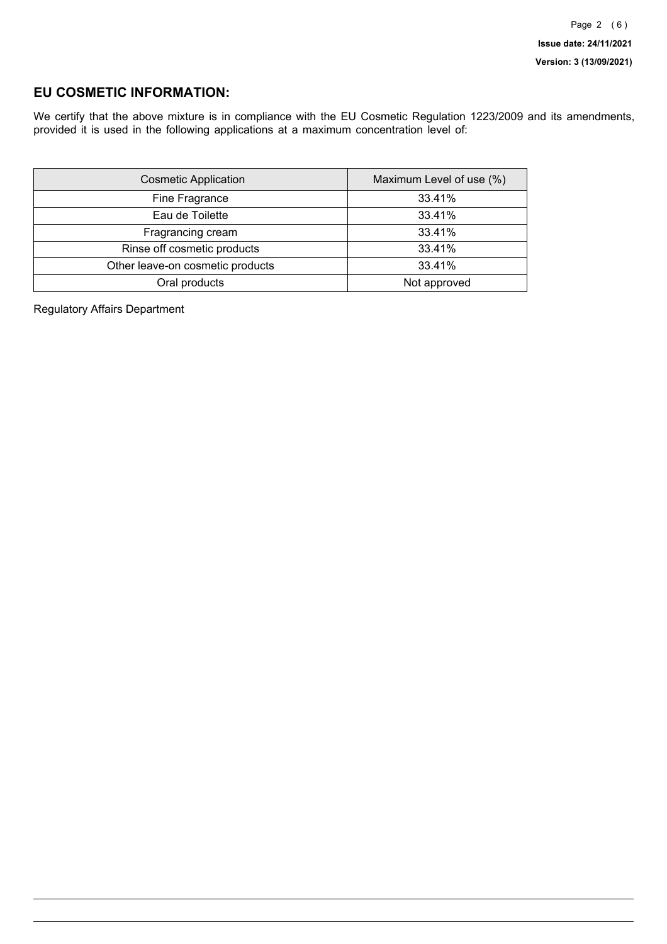### **EU COSMETIC INFORMATION:**

We certify that the above mixture is in compliance with the EU Cosmetic Regulation 1223/2009 and its amendments, provided it is used in the following applications at a maximum concentration level of:

| <b>Cosmetic Application</b>      | Maximum Level of use (%) |
|----------------------------------|--------------------------|
| Fine Fragrance                   | 33.41%                   |
| Eau de Toilette                  | 33.41%                   |
| Fragrancing cream                | 33.41%                   |
| Rinse off cosmetic products      | 33.41%                   |
| Other leave-on cosmetic products | 33.41%                   |
| Oral products                    | Not approved             |

Regulatory Affairs Department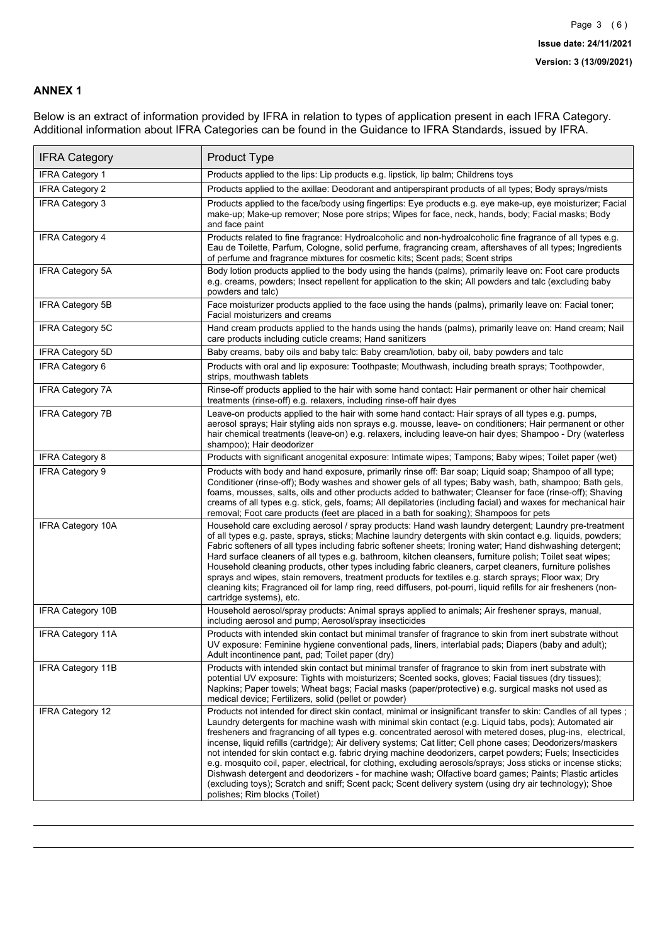### **ANNEX 1**

Below is an extract of information provided by IFRA in relation to types of application present in each IFRA Category. Additional information about IFRA Categories can be found in the Guidance to IFRA Standards, issued by IFRA.

| <b>IFRA Category</b>     | <b>Product Type</b>                                                                                                                                                                                                                                                                                                                                                                                                                                                                                                                                                                                                                                                                                                                                                                                                                                                                                                                          |
|--------------------------|----------------------------------------------------------------------------------------------------------------------------------------------------------------------------------------------------------------------------------------------------------------------------------------------------------------------------------------------------------------------------------------------------------------------------------------------------------------------------------------------------------------------------------------------------------------------------------------------------------------------------------------------------------------------------------------------------------------------------------------------------------------------------------------------------------------------------------------------------------------------------------------------------------------------------------------------|
| <b>IFRA Category 1</b>   | Products applied to the lips: Lip products e.g. lipstick, lip balm; Childrens toys                                                                                                                                                                                                                                                                                                                                                                                                                                                                                                                                                                                                                                                                                                                                                                                                                                                           |
| <b>IFRA Category 2</b>   | Products applied to the axillae: Deodorant and antiperspirant products of all types; Body sprays/mists                                                                                                                                                                                                                                                                                                                                                                                                                                                                                                                                                                                                                                                                                                                                                                                                                                       |
| IFRA Category 3          | Products applied to the face/body using fingertips: Eye products e.g. eye make-up, eye moisturizer; Facial<br>make-up; Make-up remover; Nose pore strips; Wipes for face, neck, hands, body; Facial masks; Body<br>and face paint                                                                                                                                                                                                                                                                                                                                                                                                                                                                                                                                                                                                                                                                                                            |
| <b>IFRA Category 4</b>   | Products related to fine fragrance: Hydroalcoholic and non-hydroalcoholic fine fragrance of all types e.g.<br>Eau de Toilette, Parfum, Cologne, solid perfume, fragrancing cream, aftershaves of all types; Ingredients<br>of perfume and fragrance mixtures for cosmetic kits; Scent pads; Scent strips                                                                                                                                                                                                                                                                                                                                                                                                                                                                                                                                                                                                                                     |
| <b>IFRA Category 5A</b>  | Body lotion products applied to the body using the hands (palms), primarily leave on: Foot care products<br>e.g. creams, powders; Insect repellent for application to the skin; All powders and talc (excluding baby<br>powders and talc)                                                                                                                                                                                                                                                                                                                                                                                                                                                                                                                                                                                                                                                                                                    |
| IFRA Category 5B         | Face moisturizer products applied to the face using the hands (palms), primarily leave on: Facial toner;<br>Facial moisturizers and creams                                                                                                                                                                                                                                                                                                                                                                                                                                                                                                                                                                                                                                                                                                                                                                                                   |
| IFRA Category 5C         | Hand cream products applied to the hands using the hands (palms), primarily leave on: Hand cream; Nail<br>care products including cuticle creams; Hand sanitizers                                                                                                                                                                                                                                                                                                                                                                                                                                                                                                                                                                                                                                                                                                                                                                            |
| <b>IFRA Category 5D</b>  | Baby creams, baby oils and baby talc: Baby cream/lotion, baby oil, baby powders and talc                                                                                                                                                                                                                                                                                                                                                                                                                                                                                                                                                                                                                                                                                                                                                                                                                                                     |
| IFRA Category 6          | Products with oral and lip exposure: Toothpaste; Mouthwash, including breath sprays; Toothpowder,<br>strips, mouthwash tablets                                                                                                                                                                                                                                                                                                                                                                                                                                                                                                                                                                                                                                                                                                                                                                                                               |
| <b>IFRA Category 7A</b>  | Rinse-off products applied to the hair with some hand contact: Hair permanent or other hair chemical<br>treatments (rinse-off) e.g. relaxers, including rinse-off hair dyes                                                                                                                                                                                                                                                                                                                                                                                                                                                                                                                                                                                                                                                                                                                                                                  |
| <b>IFRA Category 7B</b>  | Leave-on products applied to the hair with some hand contact: Hair sprays of all types e.g. pumps,<br>aerosol sprays; Hair styling aids non sprays e.g. mousse, leave- on conditioners; Hair permanent or other<br>hair chemical treatments (leave-on) e.g. relaxers, including leave-on hair dyes; Shampoo - Dry (waterless<br>shampoo); Hair deodorizer                                                                                                                                                                                                                                                                                                                                                                                                                                                                                                                                                                                    |
| <b>IFRA Category 8</b>   | Products with significant anogenital exposure: Intimate wipes; Tampons; Baby wipes; Toilet paper (wet)                                                                                                                                                                                                                                                                                                                                                                                                                                                                                                                                                                                                                                                                                                                                                                                                                                       |
| <b>IFRA Category 9</b>   | Products with body and hand exposure, primarily rinse off: Bar soap; Liquid soap; Shampoo of all type;<br>Conditioner (rinse-off); Body washes and shower gels of all types; Baby wash, bath, shampoo; Bath gels,<br>foams, mousses, salts, oils and other products added to bathwater; Cleanser for face (rinse-off); Shaving<br>creams of all types e.g. stick, gels, foams; All depilatories (including facial) and waxes for mechanical hair<br>removal; Foot care products (feet are placed in a bath for soaking); Shampoos for pets                                                                                                                                                                                                                                                                                                                                                                                                   |
| <b>IFRA Category 10A</b> | Household care excluding aerosol / spray products: Hand wash laundry detergent; Laundry pre-treatment<br>of all types e.g. paste, sprays, sticks; Machine laundry detergents with skin contact e.g. liquids, powders;<br>Fabric softeners of all types including fabric softener sheets; Ironing water; Hand dishwashing detergent;<br>Hard surface cleaners of all types e.g. bathroom, kitchen cleansers, furniture polish; Toilet seat wipes;<br>Household cleaning products, other types including fabric cleaners, carpet cleaners, furniture polishes<br>sprays and wipes, stain removers, treatment products for textiles e.g. starch sprays; Floor wax; Dry<br>cleaning kits; Fragranced oil for lamp ring, reed diffusers, pot-pourri, liquid refills for air fresheners (non-<br>cartridge systems), etc.                                                                                                                          |
| <b>IFRA Category 10B</b> | Household aerosol/spray products: Animal sprays applied to animals; Air freshener sprays, manual,<br>including aerosol and pump; Aerosol/spray insecticides                                                                                                                                                                                                                                                                                                                                                                                                                                                                                                                                                                                                                                                                                                                                                                                  |
| <b>IFRA Category 11A</b> | Products with intended skin contact but minimal transfer of fragrance to skin from inert substrate without<br>UV exposure: Feminine hygiene conventional pads, liners, interlabial pads; Diapers (baby and adult);<br>Adult incontinence pant, pad; Toilet paper (dry)                                                                                                                                                                                                                                                                                                                                                                                                                                                                                                                                                                                                                                                                       |
| <b>IFRA Category 11B</b> | Products with intended skin contact but minimal transfer of fragrance to skin from inert substrate with<br>potential UV exposure: Tights with moisturizers; Scented socks, gloves; Facial tissues (dry tissues);<br>Napkins; Paper towels; Wheat bags; Facial masks (paper/protective) e.g. surgical masks not used as<br>medical device; Fertilizers, solid (pellet or powder)                                                                                                                                                                                                                                                                                                                                                                                                                                                                                                                                                              |
| <b>IFRA Category 12</b>  | Products not intended for direct skin contact, minimal or insignificant transfer to skin: Candles of all types;<br>Laundry detergents for machine wash with minimal skin contact (e.g. Liquid tabs, pods); Automated air<br>fresheners and fragrancing of all types e.g. concentrated aerosol with metered doses, plug-ins, electrical,<br>incense, liquid refills (cartridge); Air delivery systems; Cat litter; Cell phone cases; Deodorizers/maskers<br>not intended for skin contact e.g. fabric drying machine deodorizers, carpet powders; Fuels; Insecticides<br>e.g. mosquito coil, paper, electrical, for clothing, excluding aerosols/sprays; Joss sticks or incense sticks;<br>Dishwash detergent and deodorizers - for machine wash; Olfactive board games; Paints; Plastic articles<br>(excluding toys); Scratch and sniff; Scent pack; Scent delivery system (using dry air technology); Shoe<br>polishes; Rim blocks (Toilet) |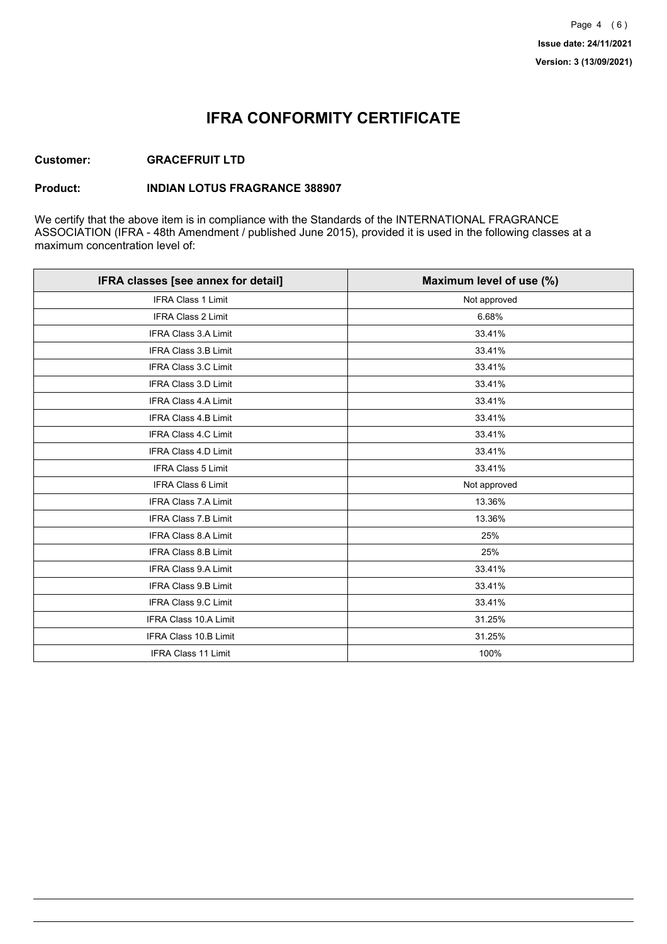## **IFRA CONFORMITY CERTIFICATE**

### **Customer: GRACEFRUIT LTD**

#### **Product: INDIAN LOTUS FRAGRANCE 388907**

We certify that the above item is in compliance with the Standards of the INTERNATIONAL FRAGRANCE ASSOCIATION (IFRA - 48th Amendment / published June 2015), provided it is used in the following classes at a maximum concentration level of:

| IFRA classes [see annex for detail] | Maximum level of use (%) |
|-------------------------------------|--------------------------|
| <b>IFRA Class 1 Limit</b>           | Not approved             |
| IFRA Class 2 Limit                  | 6.68%                    |
| <b>IFRA Class 3.A Limit</b>         | 33.41%                   |
| IFRA Class 3.B Limit                | 33.41%                   |
| <b>IFRA Class 3.C Limit</b>         | 33.41%                   |
| IFRA Class 3.D Limit                | 33.41%                   |
| IFRA Class 4.A Limit                | 33.41%                   |
| <b>IFRA Class 4.B Limit</b>         | 33.41%                   |
| <b>IFRA Class 4.C Limit</b>         | 33.41%                   |
| <b>IFRA Class 4.D Limit</b>         | 33.41%                   |
| <b>IFRA Class 5 Limit</b>           | 33.41%                   |
| IFRA Class 6 Limit                  | Not approved             |
| <b>IFRA Class 7.A Limit</b>         | 13.36%                   |
| <b>IFRA Class 7.B Limit</b>         | 13.36%                   |
| <b>IFRA Class 8.A Limit</b>         | 25%                      |
| IFRA Class 8.B Limit                | 25%                      |
| IFRA Class 9.A Limit                | 33.41%                   |
| <b>IFRA Class 9.B Limit</b>         | 33.41%                   |
| IFRA Class 9.C Limit                | 33.41%                   |
| IFRA Class 10.A Limit               | 31.25%                   |
| IFRA Class 10.B Limit               | 31.25%                   |
| <b>IFRA Class 11 Limit</b>          | 100%                     |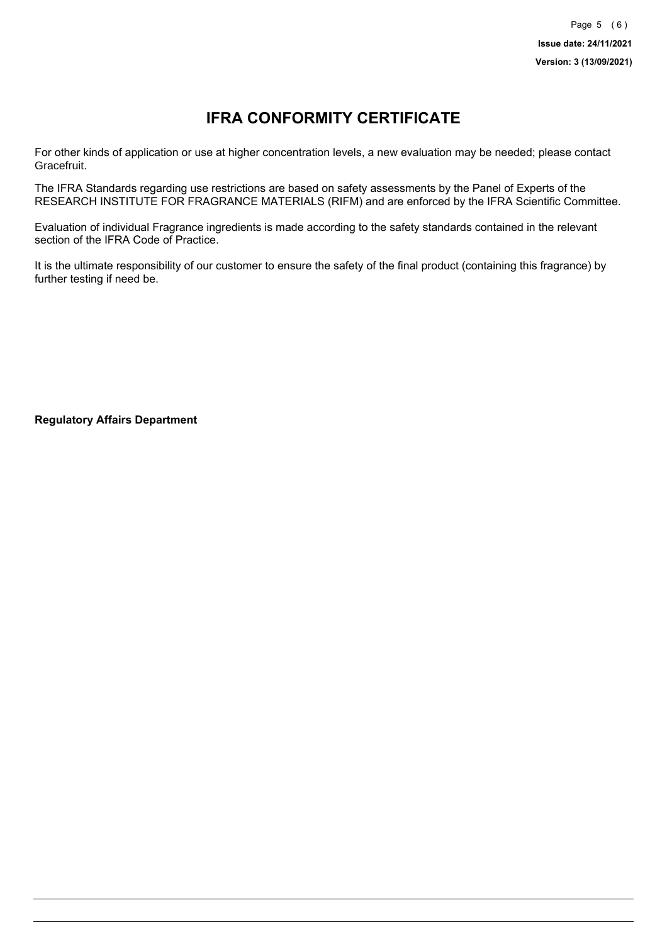# **IFRA CONFORMITY CERTIFICATE**

For other kinds of application or use at higher concentration levels, a new evaluation may be needed; please contact Gracefruit.

The IFRA Standards regarding use restrictions are based on safety assessments by the Panel of Experts of the RESEARCH INSTITUTE FOR FRAGRANCE MATERIALS (RIFM) and are enforced by the IFRA Scientific Committee.

Evaluation of individual Fragrance ingredients is made according to the safety standards contained in the relevant section of the IFRA Code of Practice.

It is the ultimate responsibility of our customer to ensure the safety of the final product (containing this fragrance) by further testing if need be.

**Regulatory Affairs Department**